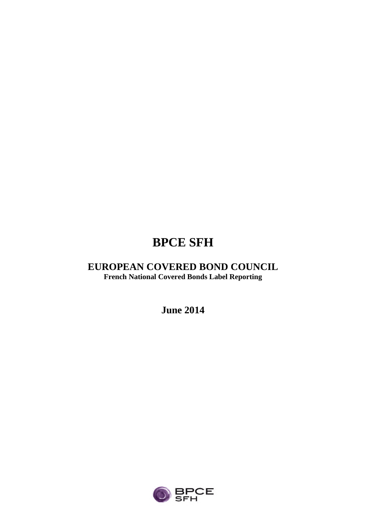# **BPCE SFH**

## **EUROPEAN COVERED BOND COUNCIL French National Covered Bonds Label Reporting**

**June 2014**

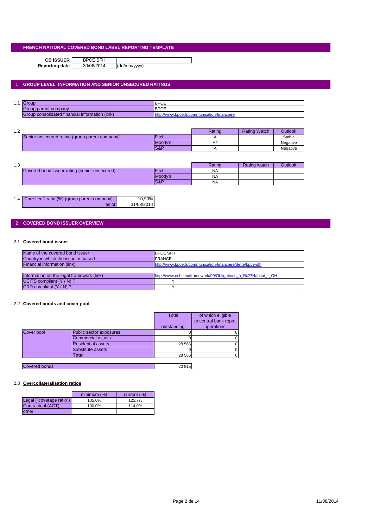**CB ISSUER** BPCE SFH<br>porting date 30/06/2014

**Reporting date** 30/06/2014 (dd/mm/yyyy)

## 1 **GROUP LEVEL INFORMATION AND SENIOR UNSECURED RATINGS**

| $\overline{A}$<br>. | $\overline{1}$                                  | <b>BPCE</b>                |
|---------------------|-------------------------------------------------|----------------------------|
|                     | Sroup parent company                            | <b>BPCE</b>                |
|                     | Group consolidated financial information (link) | ımunıcatıor<br>า-πnancier⊾ |

| 1 ^<br>ے ، |                                                |                 | Rating | <b>Rating Watch</b> | <b>Outlook</b> |
|------------|------------------------------------------------|-----------------|--------|---------------------|----------------|
|            | Senior unsecured rating (group parent company) | <b>IFitch</b>   |        |                     | Stable         |
|            |                                                | Moody's         | A2     |                     | Négative       |
|            |                                                | <b>IS&amp;P</b> |        |                     | Négative       |

| 10<br>ن. ا |                                               |                | Rating    | Rating watch | <b>Outlook</b> |
|------------|-----------------------------------------------|----------------|-----------|--------------|----------------|
|            | Covered bond issuer rating (senior unsecured) | <b>Fitch</b>   | <b>NA</b> |              |                |
|            |                                               | Moody's        | <b>NA</b> |              |                |
|            |                                               | <b>S&amp;P</b> | <b>NA</b> |              |                |

| 1.4 Core tier 1 ratio (%) (group parent company) | 10,90%     |
|--------------------------------------------------|------------|
| as of                                            | 31/03/2014 |

## 2 **COVERED BOND ISSUER OVERVIEW**

## 2.1 **Covered bond issuer**

| Name of the covered bond issuer           | <b>BPCE SFH</b>                                                |
|-------------------------------------------|----------------------------------------------------------------|
| Country in which the issuer is based      | <b>FRANCE</b>                                                  |
| Financial information (link)              | http://www.bpce.fr/communication-financiere/dette/bpce-sfh     |
|                                           |                                                                |
| Information on the legal framework (link) | http://www.ecbc.eu/framework/90/Obligations à l%27Habitat - OH |
| UCITS compliant (Y / N) ?                 |                                                                |
| $CRD$ compliant $(Y/N)$ ?                 |                                                                |

#### 2.2 **Covered bonds and cover pool**

|                      |                           | Total       | of which eligible     |
|----------------------|---------------------------|-------------|-----------------------|
|                      |                           |             | to central bank repo- |
|                      |                           | outstanding | operations            |
| Cover pool           | Public sector exposures   |             |                       |
|                      | Commercial assets         |             |                       |
|                      | <b>Residential assets</b> | 28 5 66     |                       |
|                      | Substitute assets         |             |                       |
|                      | Total                     | 28 5 66     |                       |
|                      |                           |             |                       |
| <b>Covered bonds</b> |                           | 20815       |                       |

#### 2.3 **Overcollateralisation ratios**

|                          | minimum (%) | current (%) |
|--------------------------|-------------|-------------|
| Legal ("coverage ratio") | 105.0%      | 125.7%      |
| Contractual (ACT)        | 100.0%      | 114.0%      |
| other                    |             |             |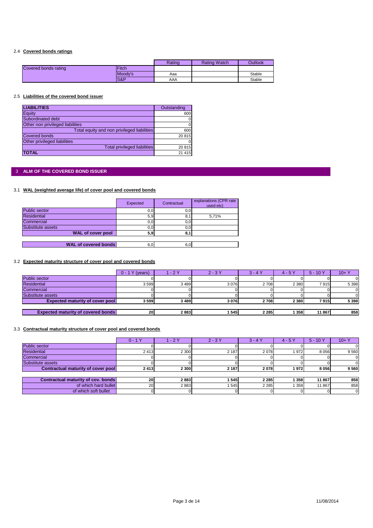## 2.4 **Covered bonds ratings**

|                      |              | Rating | <b>Rating Watch</b> | Outlook |
|----------------------|--------------|--------|---------------------|---------|
| Covered bonds rating | <b>Fitch</b> |        |                     |         |
|                      | Moody's      | Aaa    |                     | Stable  |
|                      | S&P          | AAA    |                     | Stable  |

#### 2.5 **Liabilities of the covered bond issuer**

| <b>LIABILITIES</b>                          | Outstanding |
|---------------------------------------------|-------------|
| Equity                                      | 600         |
| Subordinated debt                           | 0           |
| Other non privileged liabilities            |             |
| Total equity and non privileged liabilities | 600         |
| <b>Covered bonds</b>                        | 20815       |
| Other privileged liabilities                |             |
| <b>Total privileged liabilities</b>         | 20 815      |
| <b>TOTAL</b>                                | 21 4 15     |

## 3 **ALM OF THE COVERED BOND ISSUER**

## 3.1 **WAL (weighted average life) of cover pool and covered bonds**

|                             | Expected | Contractual | explanations (CPR rate)<br>used etc) |
|-----------------------------|----------|-------------|--------------------------------------|
| Public sector               | 0, 0     | 0,0         |                                      |
| <b>Residential</b>          | 5,9      | 8,          | 5.71%                                |
| Commercial                  | 0, 0     | 0,0         |                                      |
| Substitute assets           | 0, 0     | 0,0         |                                      |
| <b>WAL of cover pool</b>    | 5,9      | 8.          |                                      |
|                             |          |             |                                      |
| <b>WAL of covered bonds</b> | 6,0      | 6,0         |                                      |

## 3.2 **Expected maturity structure of cover pool and covered bonds**

|                                           | (years)<br>$0 - 1Y$ | /- 2 Y | $2 - 3Y$ | $3 - 4$ | $4 - 5Y$ | $5 - 10Y$ | $10 + Y$ |
|-------------------------------------------|---------------------|--------|----------|---------|----------|-----------|----------|
| <b>Public sector</b>                      |                     |        |          |         |          |           |          |
| <b>Residential</b>                        | 3599                | 3489   | 3076     | 2 708   | 2 3 8 0  | 7915      | 5 3 9 8  |
| Commercial                                |                     |        |          |         |          |           |          |
| Substitute assets                         |                     |        |          |         |          |           |          |
| <b>Expected maturity of cover pool</b>    | 3599                | 3489   | 3076     | 2708    | 2 3 8 0  | 7915      | 5 3 9 8  |
|                                           |                     |        |          |         |          |           |          |
| <b>Expected maturity of covered bonds</b> | 20                  | 2883   | 1545     | 2 2 8 5 | 358      | 11 867    | 858      |

#### 3.3 **Contractual maturity structure of cover pool and covered bonds**

|                                    | $0 - 1Y$ | $-2Y$   | $2 - 3Y$ | $3 - 4Y$ | $4 - 5Y$ | $5 - 10Y$ | $10+Y$ |
|------------------------------------|----------|---------|----------|----------|----------|-----------|--------|
| Public sector                      |          |         |          |          |          |           |        |
| <b>Residential</b>                 | 2413     | 2 3 0 0 | 2 1 8 7  | 2078     | 1972     | 8 0 5 6   | 9560   |
| Commercial                         |          |         |          |          |          |           |        |
| Substitute assets                  |          |         |          |          |          |           |        |
| Contractual maturity of cover pool | 2413     | 2 3 0 0 | 2 187    | 2078     | 1972     | 8056      | 9560   |
|                                    |          |         |          |          |          |           |        |
| Contractual maturity of cov. bonds | 20       | 2883    | 1545     | 2 2 8 5  | 358      | 11 867    | 858    |
| of which hard bullet               | 20       | 2883    | 545      | 2 2 8 5  | 358      | 11 867    | 858    |
| of which soft bullet               |          |         |          |          |          |           |        |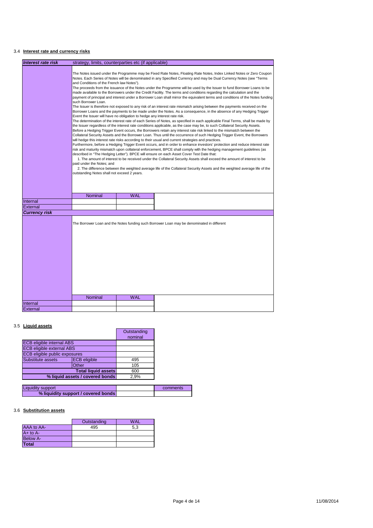## 3.4 **Interest rate and currency risks**

| <b>Interest rate risk</b> | strategy, limits, counterparties etc (if applicable)                                                                                                                                                                                                                                                                                                                                                     |            |                                                                                                                                                                                                                                                                                                                                                                                     |  |  |
|---------------------------|----------------------------------------------------------------------------------------------------------------------------------------------------------------------------------------------------------------------------------------------------------------------------------------------------------------------------------------------------------------------------------------------------------|------------|-------------------------------------------------------------------------------------------------------------------------------------------------------------------------------------------------------------------------------------------------------------------------------------------------------------------------------------------------------------------------------------|--|--|
|                           |                                                                                                                                                                                                                                                                                                                                                                                                          |            |                                                                                                                                                                                                                                                                                                                                                                                     |  |  |
|                           | The Notes issued under the Programme may be Fixed Rate Notes, Floating Rate Notes, Index Linked Notes or Zero Coupon<br>Notes. Each Series of Notes will be denominated in any Specified Currency and may be Dual Currency Notes (see "Terms<br>and Conditions of the French law Notes").                                                                                                                |            |                                                                                                                                                                                                                                                                                                                                                                                     |  |  |
|                           | The proceeds from the issuance of the Notes under the Programme will be used by the Issuer to fund Borrower Loans to be<br>made available to the Borrowers under the Credit Facility. The terms and conditions regarding the calculation and the<br>payment of principal and interest under a Borrower Loan shall mirror the equivalent terms and conditions of the Notes funding<br>such Borrower Loan. |            |                                                                                                                                                                                                                                                                                                                                                                                     |  |  |
|                           | Event the Issuer will have no obligation to hedge any interest rate risk.                                                                                                                                                                                                                                                                                                                                |            | The Issuer is therefore not exposed to any risk of an interest rate mismatch arising between the payments received on the<br>Borrower Loans and the payments to be made under the Notes. As a consequence, in the absence of any Hedging Trigger                                                                                                                                    |  |  |
|                           |                                                                                                                                                                                                                                                                                                                                                                                                          |            | The determination of the interest rate of each Series of Notes, as specified in each applicable Final Terms, shall be made by<br>the Issuer regardless of the interest rate conditions applicable, as the case may be, to such Collateral Security Assets.<br>Before a Hedging Trigger Event occurs, the Borrowers retain any interest rate risk linked to the mismatch between the |  |  |
|                           |                                                                                                                                                                                                                                                                                                                                                                                                          |            | Collateral Security Assets and the Borrower Loan. Thus until the occurrence of such Hedging Trigger Event, the Borrowers<br>will hedge this interest rate risks according to their usual and current strategies and practices.                                                                                                                                                      |  |  |
|                           |                                                                                                                                                                                                                                                                                                                                                                                                          |            | Furthermore, before a Hedging Trigger Event occurs, and in order to enhance investors' protection and reduce interest rate<br>risk and maturity mismatch upon collateral enforcement, BPCE shall comply with the hedging management guidelines (as<br>described in "The Hedging Letter"). BPCE will ensure on each Asset Cover Test Date that:                                      |  |  |
|                           | 1. The amount of interest to be received under the Collateral Security Assets shall exceed the amount of interest to be<br>paid under the Notes; and<br>2. The difference between the weighted average life of the Collateral Security Assets and the weighted average life of the                                                                                                                       |            |                                                                                                                                                                                                                                                                                                                                                                                     |  |  |
|                           | outstanding Notes shall not exceed 2 years.                                                                                                                                                                                                                                                                                                                                                              |            |                                                                                                                                                                                                                                                                                                                                                                                     |  |  |
|                           |                                                                                                                                                                                                                                                                                                                                                                                                          |            |                                                                                                                                                                                                                                                                                                                                                                                     |  |  |
|                           | Nominal                                                                                                                                                                                                                                                                                                                                                                                                  | <b>WAL</b> |                                                                                                                                                                                                                                                                                                                                                                                     |  |  |
| Internal                  |                                                                                                                                                                                                                                                                                                                                                                                                          |            |                                                                                                                                                                                                                                                                                                                                                                                     |  |  |
| External                  |                                                                                                                                                                                                                                                                                                                                                                                                          |            |                                                                                                                                                                                                                                                                                                                                                                                     |  |  |
| <b>Currency risk</b>      |                                                                                                                                                                                                                                                                                                                                                                                                          |            |                                                                                                                                                                                                                                                                                                                                                                                     |  |  |
|                           |                                                                                                                                                                                                                                                                                                                                                                                                          |            | The Borrower Loan and the Notes funding such Borrower Loan may be denominated in different                                                                                                                                                                                                                                                                                          |  |  |
|                           |                                                                                                                                                                                                                                                                                                                                                                                                          |            |                                                                                                                                                                                                                                                                                                                                                                                     |  |  |
|                           |                                                                                                                                                                                                                                                                                                                                                                                                          |            |                                                                                                                                                                                                                                                                                                                                                                                     |  |  |
|                           |                                                                                                                                                                                                                                                                                                                                                                                                          |            |                                                                                                                                                                                                                                                                                                                                                                                     |  |  |
|                           |                                                                                                                                                                                                                                                                                                                                                                                                          |            |                                                                                                                                                                                                                                                                                                                                                                                     |  |  |
|                           |                                                                                                                                                                                                                                                                                                                                                                                                          |            |                                                                                                                                                                                                                                                                                                                                                                                     |  |  |
|                           | Nominal                                                                                                                                                                                                                                                                                                                                                                                                  | <b>WAL</b> |                                                                                                                                                                                                                                                                                                                                                                                     |  |  |
| Internal                  |                                                                                                                                                                                                                                                                                                                                                                                                          |            |                                                                                                                                                                                                                                                                                                                                                                                     |  |  |
| External                  |                                                                                                                                                                                                                                                                                                                                                                                                          |            |                                                                                                                                                                                                                                                                                                                                                                                     |  |  |

## 3.5 **Liquid assets**

|                                          |  | Outstanding |
|------------------------------------------|--|-------------|
|                                          |  | nominal     |
| <b>ECB eligible internal ABS</b>         |  |             |
| <b>ECB eligible external ABS</b>         |  |             |
| ECB eligible public exposures            |  |             |
| <b>ECB</b> eligible<br>Substitute assets |  | 495         |
| Other                                    |  | 105         |
| <b>Total liquid assets</b>               |  | 600         |
| % liquid assets / covered bonds          |  | 2,9%        |

| Liquidity support                   | comments |
|-------------------------------------|----------|
| % liquidity support / covered bonds |          |

## 3.6 **Substitution assets**

|                 | Outstanding | <b>WAL</b> |
|-----------------|-------------|------------|
| AAA to AA-      | 495         | 5,3        |
| $A+$ to $A-$    |             |            |
| <b>Below A-</b> |             |            |
| Total           |             |            |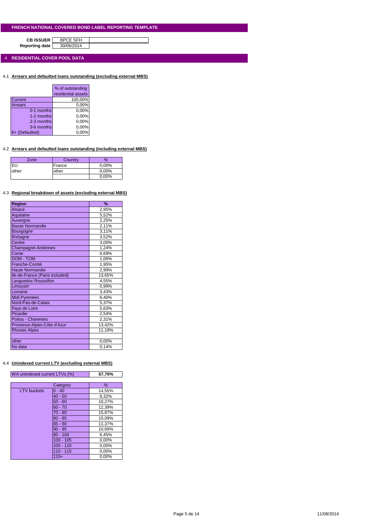**CB ISSUER** BPCE SFH<br>porting date 30/06/2014 **Reporting date** 

4 **RESIDENTIAL COVER POOL DATA**

4.1 **Arrears and defaulted loans outstanding (excluding external MBS)**

|                | % of outstanding   |
|----------------|--------------------|
|                | residential assets |
| Current        | 100,00%            |
| Arrears        | 0,00%              |
| 0-1 months     | 0,00%              |
| 1-2 months     | 0,00%              |
| 2-3 months     | 0,00%              |
| 3-6 months     | 0,00%              |
| 6+ (Defaulted) | 0.00%              |

## 4.2 **Arrears and defaulted loans outstanding (including external MBS)**

| Zone  | Country | $\%$     |
|-------|---------|----------|
|       | France  | 0,00%    |
| other | other   | $0.00\%$ |
|       |         | 0,00%    |

#### 4.3 **Regional breakdown of assets (excluding external MBS)**

| Region                         | %      |
|--------------------------------|--------|
| <b>Alsace</b>                  | 2,95%  |
| Aquitaine                      | 5,52%  |
| Auvergne                       | 2,25%  |
| <b>Basse Normandie</b>         | 2,11%  |
| Bourgogne                      | 3,11%  |
| <b>Bretagne</b>                | 3,52%  |
| Centre                         | 3,00%  |
| Champagne-Ardennes             | 1,24%  |
| Corse                          | 0,69%  |
| <b>DOM - TOM</b>               | 1,06%  |
| Franche-Comté                  | 1,95%  |
| <b>Haute Normandie</b>         | 2,99%  |
| Ile-de-France (Paris included) | 13,65% |
| Languedoc Roussillon           | 4,55%  |
| Limousin                       | 0,99%  |
| Lorraine                       | 3,43%  |
| Midi Pyrenées                  | 6,40%  |
| Nord-Pas-de-Calais             | 5,37%  |
| Pays de Loire                  | 5,63%  |
| Picardie                       | 2,54%  |
| Poitou - Charentes             | 2,31%  |
| Provence-Alpes-Côte d'Azur     | 13,42% |
| <b>Rhones Alpes</b>            | 11,19% |
|                                |        |
| other                          | 0,00%  |
| No data                        | 0.14%  |

## 4.4 **Unindexed current LTV (excluding external MBS)**

| WA unindexed current LTVs (%) |             | 67,70% |
|-------------------------------|-------------|--------|
|                               |             |        |
|                               | Category    | $\%$   |
| <b>LTV</b> buckets            | $0 - 40$    | 14,55% |
|                               | $40 - 50$   | 8,32%  |
|                               | $50 - 60$   | 10,27% |
|                               | $60 - 70$   | 12,39% |
|                               | $70 - 80$   | 15,87% |
|                               | $80 - 85$   | 10,09% |
|                               | $85 - 90$   | 11,37% |
|                               | $90 - 95$   | 10,69% |
|                               | $95 - 100$  | 6,45%  |
|                               | $100 - 105$ | 0,00%  |
|                               | $105 - 110$ | 0,00%  |
|                               | $110 - 115$ | 0,00%  |
|                               | $115+$      | 0.00%  |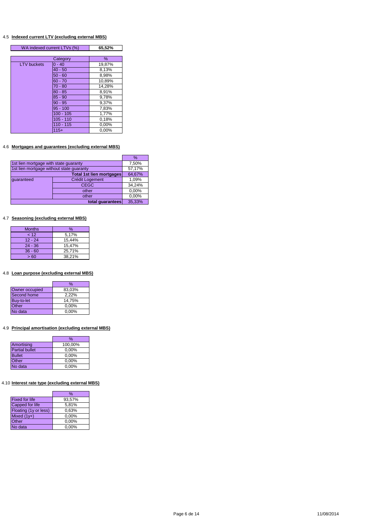#### 4.5 **Indexed current LTV (excluding external MBS)**

| WA indexed current LTVs (%) |             | 65,52% |
|-----------------------------|-------------|--------|
|                             |             |        |
|                             | Category    | $\%$   |
| <b>LTV</b> buckets          | $0 - 40$    | 19,87% |
|                             | $40 - 50$   | 8,13%  |
|                             | $50 - 60$   | 8,98%  |
|                             | $60 - 70$   | 10,89% |
|                             | $70 - 80$   | 14,28% |
|                             | $80 - 85$   | 8,91%  |
|                             | $85 - 90$   | 9,78%  |
|                             | $90 - 95$   | 9,37%  |
|                             | $95 - 100$  | 7,83%  |
|                             | $100 - 105$ | 1,77%  |
|                             | $105 - 110$ | 0,18%  |
|                             | $110 - 115$ | 0,00%  |
|                             | $115+$      | 0,00%  |

## 4.6 **Mortgages and guarantees (excluding external MBS)**

|                                          |                                 | $\%$   |
|------------------------------------------|---------------------------------|--------|
| 1st lien mortgage with state guaranty    | 7,50%                           |        |
| 1st lien mortgage without state guaranty |                                 | 57,17% |
|                                          | <b>Total 1st lien mortgages</b> | 64,67% |
| quaranteed                               | <b>Crédit Logement</b>          | 1,09%  |
|                                          | <b>CEGC</b>                     | 34,24% |
|                                          | other                           | 0,00%  |
|                                          | other                           | 0,00%  |
|                                          | 35,33%                          |        |

## 4.7 **Seasoning (excluding external MBS)**

| <b>Months</b> | $\%$   |
|---------------|--------|
| 12            | 5,17%  |
| $12 - 24$     | 15,44% |
| $24 - 36$     | 15.47% |
| $36 - 60$     | 25.71% |
| >60           | 38.21% |

## 4.8 **Loan purpose (excluding external MBS)**

|                | %        |
|----------------|----------|
| Owner occupied | 83,03%   |
| Second home    | 2,22%    |
| Buy-to-let     | 14,75%   |
| Other          | 0,00%    |
| No data        | $0.00\%$ |

## 4.9 **Principal amortisation (excluding external MBS)**

|                       | %       |
|-----------------------|---------|
| Amortising            | 100,00% |
| <b>Partial bullet</b> | 0,00%   |
| <b>Bullet</b>         | 0,00%   |
| Other                 | 0,00%   |
| No data               | 0,00%   |

## 4.10 **Interest rate type (excluding external MBS)**

|                       | %      |
|-----------------------|--------|
| <b>Fixed for life</b> | 93,57% |
| Capped for life       | 5,81%  |
| Floating (1y or less) | 0.63%  |
| Mixed $(1y+)$         | 0.00%  |
| Other                 | 0,00%  |
| No data               | 0,00%  |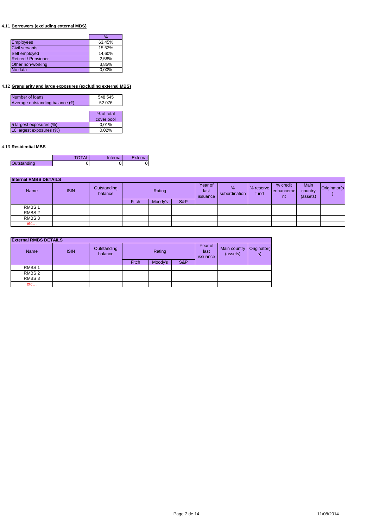## 4.11 **Borrowers (excluding external MBS)**

|                            | %      |
|----------------------------|--------|
| <b>Employees</b>           | 63,45% |
| <b>Civil servants</b>      | 15,52% |
| Self employed              | 14,60% |
| <b>Retired / Pensioner</b> | 2,58%  |
| Other non-working          | 3,85%  |
| No data                    | 0.00%  |

## 4.12 **Granularity and large exposures (excluding external MBS)**

| Number of loans                          | 548 545    |
|------------------------------------------|------------|
| Average outstanding balance $(\epsilon)$ | 52 076     |
|                                          |            |
|                                          | % of total |
|                                          | cover pool |
| 5 largest exposures (%)                  | 0,01%      |
| 10 largest exposures (%)                 | 0,02%      |
|                                          |            |

## 4.13 **Residential MBS**

|             | <b>TOTAL</b> | Internal | External |
|-------------|--------------|----------|----------|
| Outstanding |              |          |          |

| <b>Internal RMBS DETAILS</b> |             |                        |              |         |     |                             |                       |                   |                             |                             |              |
|------------------------------|-------------|------------------------|--------------|---------|-----|-----------------------------|-----------------------|-------------------|-----------------------------|-----------------------------|--------------|
| Name                         | <b>ISIN</b> | Outstanding<br>balance |              | Rating  |     | Year of<br>last<br>issuance | $\%$<br>subordination | % reserve<br>fund | % credit<br>enhanceme<br>nt | Main<br>country<br>(assets) | Originator(s |
|                              |             |                        | <b>Fitch</b> | Moody's | S&P |                             |                       |                   |                             |                             |              |
| RMBS <sub>1</sub>            |             |                        |              |         |     |                             |                       |                   |                             |                             |              |
| RMBS <sub>2</sub>            |             |                        |              |         |     |                             |                       |                   |                             |                             |              |
| RMBS 3                       |             |                        |              |         |     |                             |                       |                   |                             |                             |              |
| etc                          |             |                        |              |         |     |                             |                       |                   |                             |                             |              |

| <b>External RMBS DETAILS</b> |             |                        |        |         |     |                             |                          |                   |  |
|------------------------------|-------------|------------------------|--------|---------|-----|-----------------------------|--------------------------|-------------------|--|
| <b>Name</b>                  | <b>ISIN</b> | Outstanding<br>balance | Rating |         |     | Year of<br>last<br>issuance | Main country<br>(assets) | Originator(<br>s) |  |
|                              |             |                        | Fitch  | Moody's | S&P |                             |                          |                   |  |
| RMBS <sub>1</sub>            |             |                        |        |         |     |                             |                          |                   |  |
| RMBS 2                       |             |                        |        |         |     |                             |                          |                   |  |
| RMBS 3                       |             |                        |        |         |     |                             |                          |                   |  |
| etc                          |             |                        |        |         |     |                             |                          |                   |  |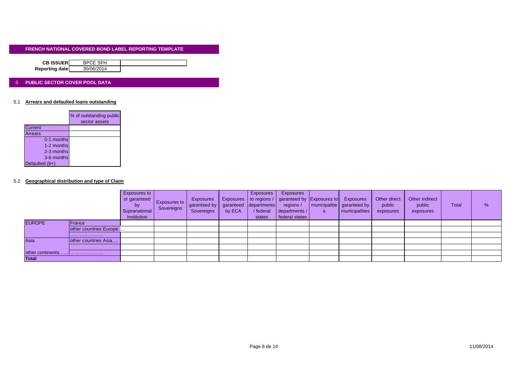| <b>CB ISSUER</b> | <b>BPCE SFH</b> |  |
|------------------|-----------------|--|
| Reporting date   | 30/06/2014      |  |
|                  |                 |  |

#### 5 **PUBLIC SECTOR COVER POOL DATA**

#### 5.1 **Arrears and defaulted loans outstanding**

|                | % of outstanding public<br>sector assets |
|----------------|------------------------------------------|
| Current        |                                          |
| Arrears        |                                          |
| 0-1 months     |                                          |
| 1-2 months     |                                          |
| 2-3 months     |                                          |
| 3-6 months     |                                          |
| Defaulted (6+) |                                          |

#### 5.2 **Geographical distribution and type of Claim**

|                  |                        | Exposures to<br>or garanteed<br><b>by</b><br>Supranational<br>Institution | <b>Exposures to</b><br>Sovereigns | Exposures<br>garanteed by<br>Sovereigns | <b>Exposures</b><br>garanteed<br>by ECA | <b>Exposures</b><br>departments<br>/ federal<br>states | Exposures<br>to regions /   garanteed by Exposures to<br>regions /<br>departments /<br>federal states | S | Exposures<br>  municipalitie   garanteed by<br><b>municipalities</b> | Other direct<br>public<br>exposures | Other indirect<br>public<br>exposures | <b>Total</b> | % |
|------------------|------------------------|---------------------------------------------------------------------------|-----------------------------------|-----------------------------------------|-----------------------------------------|--------------------------------------------------------|-------------------------------------------------------------------------------------------------------|---|----------------------------------------------------------------------|-------------------------------------|---------------------------------------|--------------|---|
| <b>EUROPE</b>    | <b>IFrance</b>         |                                                                           |                                   |                                         |                                         |                                                        |                                                                                                       |   |                                                                      |                                     |                                       |              |   |
|                  | other countries Europe |                                                                           |                                   |                                         |                                         |                                                        |                                                                                                       |   |                                                                      |                                     |                                       |              |   |
|                  |                        |                                                                           |                                   |                                         |                                         |                                                        |                                                                                                       |   |                                                                      |                                     |                                       |              |   |
| Asia             | other countries Asia   |                                                                           |                                   |                                         |                                         |                                                        |                                                                                                       |   |                                                                      |                                     |                                       |              |   |
|                  |                        |                                                                           |                                   |                                         |                                         |                                                        |                                                                                                       |   |                                                                      |                                     |                                       |              |   |
| other continents |                        |                                                                           |                                   |                                         |                                         |                                                        |                                                                                                       |   |                                                                      |                                     |                                       |              |   |
| <b>Total</b>     |                        |                                                                           |                                   |                                         |                                         |                                                        |                                                                                                       |   |                                                                      |                                     |                                       |              |   |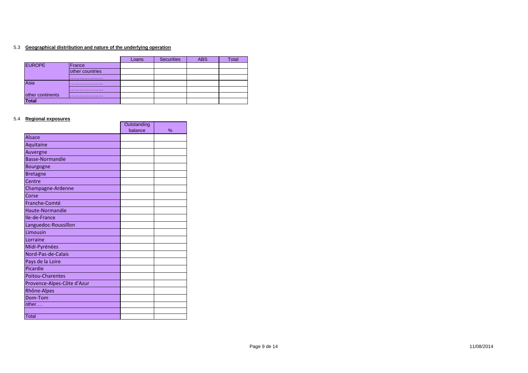#### 5.3 **Geographical distribution and nature of the underlying operation**

|                  |                 | Loans | <b>Securities</b> | <b>ABS</b> | Total |
|------------------|-----------------|-------|-------------------|------------|-------|
| <b>EUROPE</b>    | France          |       |                   |            |       |
|                  | other countries |       |                   |            |       |
|                  |                 |       |                   |            |       |
| Asia             |                 |       |                   |            |       |
|                  |                 |       |                   |            |       |
| other continents |                 |       |                   |            |       |
| <b>Total</b>     |                 |       |                   |            |       |

 $\mathbf{r}$ 

 $\blacksquare$ 

#### 5.4 **Regional exposures**

|                            | Outstanding |   |
|----------------------------|-------------|---|
|                            | balance     | % |
| <b>Alsace</b>              |             |   |
| Aquitaine                  |             |   |
| Auvergne                   |             |   |
| <b>Basse-Normandie</b>     |             |   |
| Bourgogne                  |             |   |
| <b>Bretagne</b>            |             |   |
| Centre                     |             |   |
| Champagne-Ardenne          |             |   |
| Corse                      |             |   |
| Franche-Comté              |             |   |
| Haute-Normandie            |             |   |
| Ile-de-France              |             |   |
| Languedoc-Roussillon       |             |   |
| Limousin                   |             |   |
| Lorraine                   |             |   |
| Midi-Pyrénées              |             |   |
| Nord-Pas-de-Calais         |             |   |
| Pays de la Loire           |             |   |
| Picardie                   |             |   |
| <b>Poitou-Charentes</b>    |             |   |
| Provence-Alpes-Côte d'Azur |             |   |
| Rhône-Alpes                |             |   |
| Dom-Tom                    |             |   |
| other                      |             |   |
|                            |             |   |
| Total                      |             |   |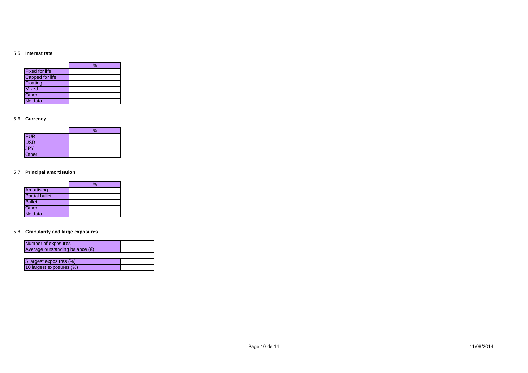#### 5.5 **Interest rate**

|                       | % |
|-----------------------|---|
| <b>Fixed for life</b> |   |
| Capped for life       |   |
| Floating              |   |
| <b>Mixed</b>          |   |
| Other                 |   |
| No data               |   |

### 5.6 **Currency**

|            | % |
|------------|---|
| <b>EUR</b> |   |
| USD        |   |
| JPY        |   |
| Other      |   |

#### 5.7 **Principal amortisation**

|                       | % |
|-----------------------|---|
| Amortising            |   |
| <b>Partial bullet</b> |   |
| <b>Bullet</b>         |   |
| Other                 |   |
| No data               |   |

#### 5.8 **Granularity and large exposures**

| Number of exposures                      |  |
|------------------------------------------|--|
| Average outstanding balance $(\epsilon)$ |  |
|                                          |  |
| 5 largest exposures (%)                  |  |
|                                          |  |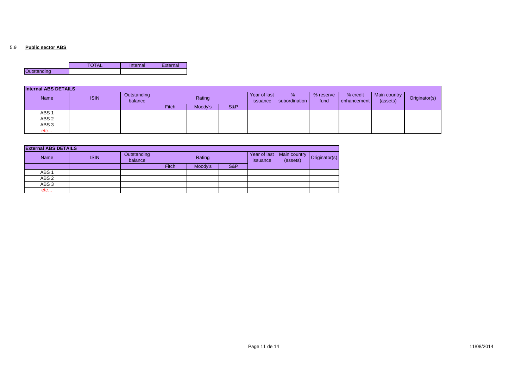#### 5.9 **Public sector ABS**

|                    | – ∼ | Internal | External |
|--------------------|-----|----------|----------|
| <b>Outstanding</b> |     |          |          |

| <b>Internal ABS DETAILS</b> |             |                        |        |         |                          |                    |                   |                           |                          |               |  |
|-----------------------------|-------------|------------------------|--------|---------|--------------------------|--------------------|-------------------|---------------------------|--------------------------|---------------|--|
| Name                        | <b>ISIN</b> | Outstanding<br>balance | Rating |         | Year of last<br>issuance | %<br>subordination | % reserve<br>fund | % credit<br>l enhancement | Main country<br>(assets) | Originator(s) |  |
|                             |             |                        | Fitch  | Moody's | S&P                      |                    |                   |                           |                          |               |  |
| ABS <sub>1</sub>            |             |                        |        |         |                          |                    |                   |                           |                          |               |  |
| ABS <sub>2</sub>            |             |                        |        |         |                          |                    |                   |                           |                          |               |  |
| ABS <sub>3</sub>            |             |                        |        |         |                          |                    |                   |                           |                          |               |  |
| etc                         |             |                        |        |         |                          |                    |                   |                           |                          |               |  |

| <b>External ABS DETAILS</b> |             |                        |        |         |     |                          |                                                      |  |
|-----------------------------|-------------|------------------------|--------|---------|-----|--------------------------|------------------------------------------------------|--|
| <b>Name</b>                 | <b>ISIN</b> | Outstanding<br>balance | Rating |         |     | Year of last<br>issuance | Main country   Originator(s <sup>y</sup><br>(assets) |  |
|                             |             |                        | Fitch  | Moody's | S&P |                          |                                                      |  |
| ABS <sub>1</sub>            |             |                        |        |         |     |                          |                                                      |  |
| ABS <sub>2</sub>            |             |                        |        |         |     |                          |                                                      |  |
| ABS <sub>3</sub>            |             |                        |        |         |     |                          |                                                      |  |
| etc                         |             |                        |        |         |     |                          |                                                      |  |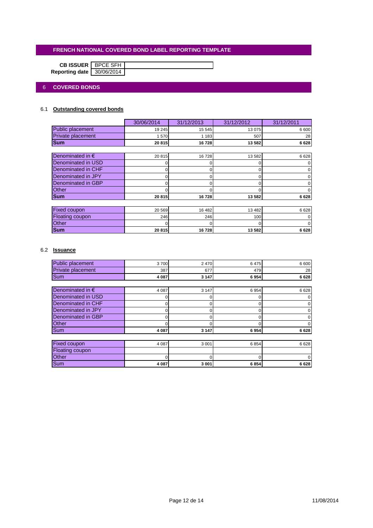|                           | <b>CB ISSUER</b>   BPCE SFH |  |
|---------------------------|-----------------------------|--|
| Reporting date 30/06/2014 |                             |  |

## 6 **COVERED BONDS**

## 6.1 **Outstanding covered bonds**

|                           | 30/06/2014 | 31/12/2013 | 31/12/2012 | 31/12/2011 |
|---------------------------|------------|------------|------------|------------|
| Public placement          | 19 245     | 15 545     | 13 0 75    | 6 600      |
| Private placement         | 1570       | 1 1 8 3    | 507        | 28         |
| <b>Sum</b>                | 20815      | 16728      | 13 582     | 6628       |
|                           |            |            |            |            |
| Denominated in $\epsilon$ | 20815      | 16728      | 13 5 8 2   | 6628       |
| Denominated in USD        |            |            | 0          |            |
| Denominated in CHF        |            |            |            |            |
| Denominated in JPY        | o          | 0          | 0          |            |
| Denominated in GBP        |            |            | O          |            |
| Other                     |            |            |            |            |
| <b>Sum</b>                | 20815      | 16728      | 13 582     | 6628       |
|                           |            |            |            |            |
| Fixed coupon              | 20 569     | 16 482     | 13 4 8 2   | 6628       |
| Floating coupon           | 246        | 246        | 100        |            |
| <b>Other</b>              |            |            | O          |            |
| <b>Sum</b>                | 20815      | 16728      | 13 582     | 6628       |

## 6.2 **Issuance**

| <b>Public placement</b>   | 3700    | 2470     | 6475 | 6 600 |
|---------------------------|---------|----------|------|-------|
| Private placement         | 387     | 677      | 479  | 28    |
| Sum                       | 4 0 8 7 | 3 1 4 7  | 6954 | 6628  |
|                           |         |          |      |       |
| Denominated in $\epsilon$ | 4 0 8 7 | 3 1 4 7  | 6954 | 6628  |
| Denominated in USD        |         | $\Omega$ | O    |       |
| Denominated in CHF        | o       | 0        | 0    |       |
| Denominated in JPY        | ი       | 0        | 0    |       |
| Denominated in GBP        |         | O        | O    |       |
| <b>Other</b>              |         |          |      |       |
| Sum                       | 4 0 8 7 | 3 1 4 7  | 6954 | 6628  |
|                           |         |          |      |       |
| <b>Fixed coupon</b>       | 4 0 8 7 | 3 0 0 1  | 6854 | 6628  |
| <b>Floating coupon</b>    |         |          |      |       |
| Other                     |         | O        |      |       |
| <b>Sum</b>                | 4 0 8 7 | 3 0 0 1  | 6854 | 6628  |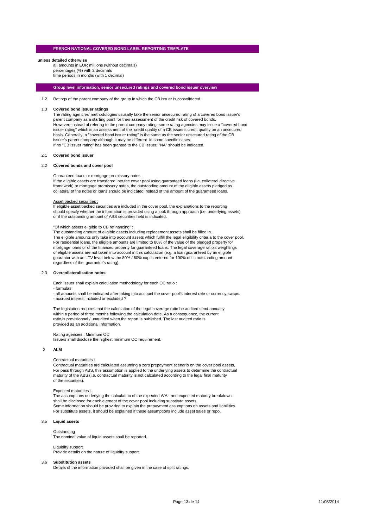#### **unless detailed otherwise**

all amounts in EUR millions (without decimals) percentages (%) with 2 decimals time periods in months (with 1 decimal)

#### **Group level information, senior unsecured ratings and covered bond issuer overview**

1.2 Ratings of the parent company of the group in which the CB issuer is consolidated.

#### 1.3 **Covered bond issuer ratings**

The rating agencies' methodologies ususally take the senior unsecured rating of a covered bond issuer's parent company as a starting point for their assessment of the credit risk of covered bonds. However, instead of refering to the parent company rating, some rating agencies may issue a "covered bond issuer rating" which is an assessment of the credit quality of a CB issuer's credit quality on an unsecured basis. Generally, a "covered bond issuer rating" is the same as the senior unsecured rating of the CB issuer's parent company although it may be different in some specific cases. If no "CB issuer rating" has been granted to the CB issuer, "NA" should be indicated.

#### 2.1 **Covered bond issuer**

#### 2.2 **Covered bonds and cover pool**

#### Guaranteed loans or mortgage promissory notes :

If the eligible assets are transfered into the cover pool using guaranteed loans (i.e. collateral directive framework) or mortgage promissory notes, the outstanding amount of the eligible assets pledged as collateral of the notes or loans should be indicated instead of the amount of the guaranteed loans.

#### Asset backed securities :

If eligible asset backed securities are included in the cover pool, the explanations to the reporting should specify whether the information is provided using a look through approach (i.e. underlying assets) or if the outstanding amount of ABS securities held is indicated.

#### "Of which assets eligible to CB refinancing" :

The outstanding amount of eligible assets including replacement assets shall be filled in. The eligible amounts only take into account assets which fulfill the legal eligibility criteria to the cover pool. For residential loans, the eligible amounts are limited to 80% of the value of the pledged property for mortgage loans or of the financed property for guaranteed loans. The legal coverage ratio's weightings of eligible assets are not taken into account in this calculation (e.g. a loan guaranteed by an eligible guarantor with an LTV level below the 80% / 60% cap is entered for 100% of its outstanding amount regardless of the guarantor's rating).

#### 2.3 **Overcollateralisation ratios**

Each issuer shall explain calculation methodology for each OC ratio :

#### - formulas

- all amounts shall be indicated after taking into account the cover pool's interest rate or currency swaps. - accrued interest included or excluded ?

The legislation requires that the calculation of the legal coverage ratio be audited semi-annually within a period of three months following the calculation date. As a consequence, the current ratio is provisionnal / unaudited when the report is published. The last audited ratio is provided as an additional information.

Rating agencies : Minimum OC Issuers shall disclose the highest minimum OC requirement.

#### 3 **ALM**

#### Contractual maturities :

Contractual maturities are calculated assuming a zero prepayment scenario on the cover pool assets. For pass through ABS, this assumption is applied to the underlying assets to determine the contractual maturity of the ABS (i.e. contractual maturity is not calculated according to the legal final maturity of the securities).

#### Expected maturities :

The assumptions underlying the calculation of the expected WAL and expected maturity breakdown shall be disclosed for each element of the cover pool including substitute assets. Some information should be provided to explain the prepayment assumptions on assets and liabilities. For substitute assets, it should be explained if these assumptions include asset sales or repo.

#### 3.5 **Liquid assets**

#### **Outstanding**

**The nominal value of liquid assets shall be reported.** 

#### Liquidity support

Provide details on the nature of liquidity support.

#### 3.6 **Substitution assets**

Details of the information provided shall be given in the case of split ratings.